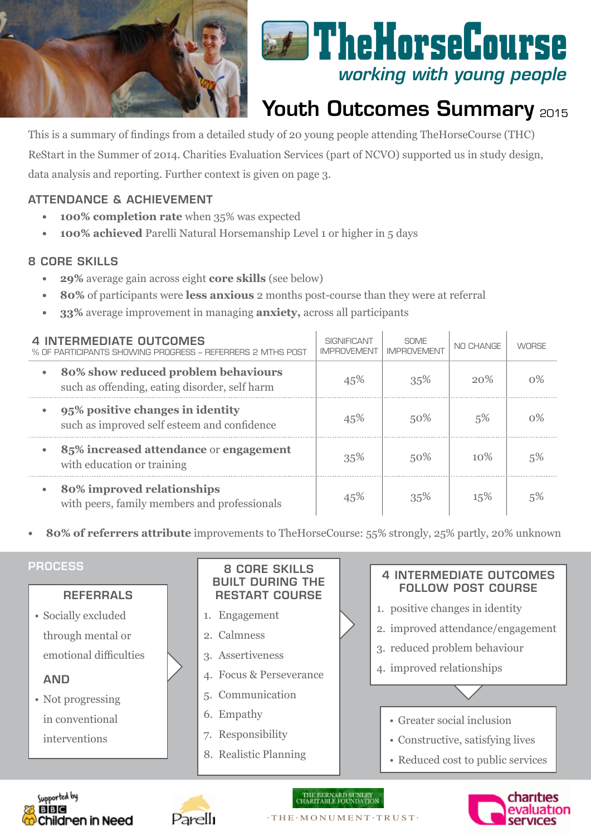



# Youth Outcomes Summary 2015

This is a summary of findings from a detailed study of 20 young people attending TheHorseCourse (THC) ReStart in the Summer of 2014. Charities Evaluation Services (part of NCVO) supported us in study design, data analysis and reporting. Further context is given on page 3.

## Attendance & Achievement

- **100% completion rate** when 35% was expected
- **100% achieved** Parelli Natural Horsemanship Level 1 or higher in 5 days

### 8 COre skills

- **29%** average gain across eight **core skills** (see below)
- **• 80%** of participants were **less anxious** 2 months post-course than they were at referral
- **33%** average improvement in managing **anxiety**, across all participants

| <b>4 INTERMEDIATE OUTCOMES</b><br>% OF PARTICIPANTS SHOWING PROGRESS – REFERRERS 2 MTHS POST      | SIGNIFICANT<br><b>IMPROVEMENT</b> | <b>SOME</b><br><b>IMPROVEMENT</b> | NO CHANGE | <b>WORSE</b> |
|---------------------------------------------------------------------------------------------------|-----------------------------------|-----------------------------------|-----------|--------------|
| 80% show reduced problem behaviours<br>$\bullet$<br>such as offending, eating disorder, self harm | 45%                               | 35%                               | 20%       | $0\%$        |
| 95% positive changes in identity<br>such as improved self esteem and confidence                   | 45%                               | 50%                               | 5%        | $0\%$        |
| 85% increased attendance or engagement<br>with education or training                              | 35%                               | 50%                               | 10%       | 5%           |
| 80% improved relationships<br>with peers, family members and professionals                        | 45%                               | 35%                               | 15%       |              |

**• 80% of referrers attribute** improvements to TheHorseCourse: 55% strongly, 25% partly, 20% unknown

#### Referrals • Socially excluded through mental or emotional difficulties **AND** • Not progressing in conventional interventions 8 Core skills Built during the RESTART course 1. Engagement 2. Calmness 3. Assertiveness 4. Focus & Perseverance 5. Communication 6. Empathy 7. Responsibility 8. Realistic Planning 4 intermediate outcomes follow POST COURSE 1. positive changes in identity 2. improved attendance/engagement 3. reduced problem behaviour 4. improved relationships • Greater social inclusion • Constructive, satisfying lives • Reduced cost to public services **PROCESS**





#### $\cdot$  THE $\cdot$  MONUMENT $\cdot$  TRUST $\cdot$

THE BERNARD SUNLEY<br>CHARITABLE FOUNDATION

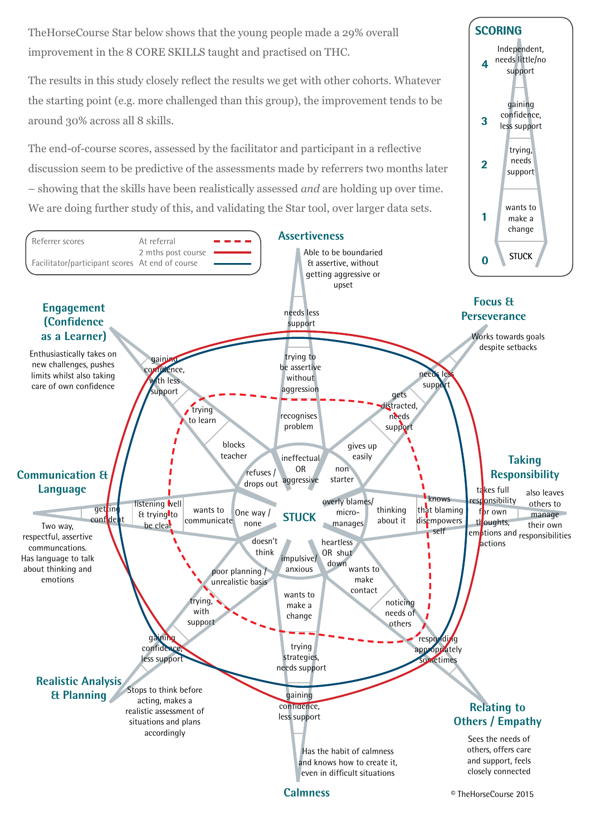TheHorseCourse Star below shows that the young people made a 29% overall improvement in the 8 CORE SKILLS taught and practised on THC.

The results in this study closely reflect the results we get with other cohorts. Whatever the starting point (e.g. more challenged than this group), the improvement tends to be around 30% across all 8 skills.

The end-of-course scores, assessed by the facilitator and participant in a reflective discussion seem to be predictive of the assessments made by referrers two months later – showing that the skills have been realistically assessed *and* are holding up over time. We are doing further study of this, and validating the Star tool, over larger data sets.



wants to

trying, needs support

gaining confidence, less support

Independent, needs little/no support

**4**

**SCORING**

**3**

**2**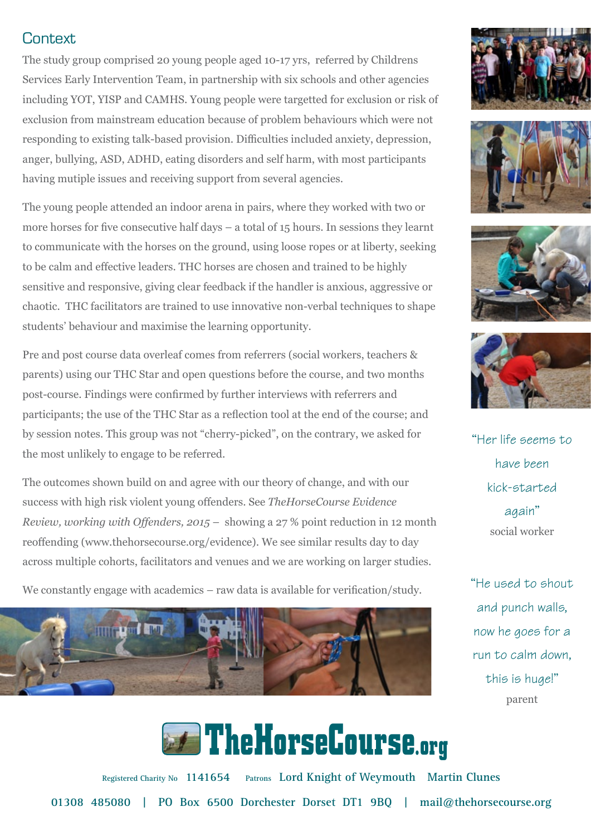## Context

The study group comprised 20 young people aged 10-17 yrs, referred by Childrens Services Early Intervention Team, in partnership with six schools and other agencies including YOT, YISP and CAMHS. Young people were targetted for exclusion or risk of exclusion from mainstream education because of problem behaviours which were not responding to existing talk-based provision. Difficulties included anxiety, depression, anger, bullying, ASD, ADHD, eating disorders and self harm, with most participants having mutiple issues and receiving support from several agencies.

The young people attended an indoor arena in pairs, where they worked with two or more horses for five consecutive half days – a total of 15 hours. In sessions they learnt to communicate with the horses on the ground, using loose ropes or at liberty, seeking to be calm and effective leaders. THC horses are chosen and trained to be highly sensitive and responsive, giving clear feedback if the handler is anxious, aggressive or chaotic. THC facilitators are trained to use innovative non-verbal techniques to shape students' behaviour and maximise the learning opportunity.

Pre and post course data overleaf comes from referrers (social workers, teachers & parents) using our THC Star and open questions before the course, and two months post-course. Findings were confirmed by further interviews with referrers and participants; the use of the THC Star as a reflection tool at the end of the course; and by session notes. This group was not "cherry-picked", on the contrary, we asked for the most unlikely to engage to be referred.

The outcomes shown build on and agree with our theory of change, and with our success with high risk violent young offenders. See *TheHorseCourse Evidence Review, working with Offenders, 2015* – showing a 27 % point reduction in 12 month reoffending (www.thehorsecourse.org/evidence). We see similar results day to day across multiple cohorts, facilitators and venues and we are working on larger studies.

We constantly engage with academics – raw data is available for verification/study.











"Her life seems to have been kick-started again" social worker

"He used to shout and punch walls, now he goes for a run to calm down, this is huge!" parent

**External TheHorseCourse.org** 

**01308 485080 | PO Box 6500 Dorchester Dorset DT1 9BQ | mail@thehorsecourse.org Registered Charity No 1141654 Patrons Lord Knight of Weymouth Martin Clunes**